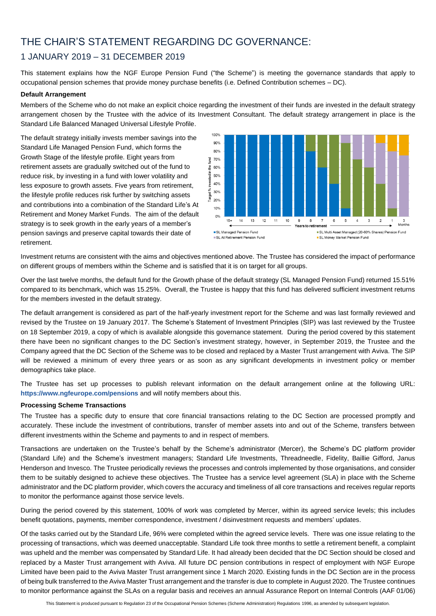# THE CHAIR'S STATEMENT REGARDING DC GOVERNANCE:

## 1 JANUARY 2019 – 31 DECEMBER 2019

This statement explains how the NGF Europe Pension Fund ("the Scheme") is meeting the governance standards that apply to occupational pension schemes that provide money purchase benefits (i.e. Defined Contribution schemes – DC).

### **Default Arrangement**

Members of the Scheme who do not make an explicit choice regarding the investment of their funds are invested in the default strategy arrangement chosen by the Trustee with the advice of its Investment Consultant. The default strategy arrangement in place is the Standard Life Balanced Managed Universal Lifestyle Profile.

The default strategy initially invests member savings into the Standard Life Managed Pension Fund, which forms the Growth Stage of the lifestyle profile. Eight years from retirement assets are gradually switched out of the fund to reduce risk, by investing in a fund with lower volatility and less exposure to growth assets. Five years from retirement, the lifestyle profile reduces risk further by switching assets and contributions into a combination of the Standard Life's At Retirement and Money Market Funds. The aim of the default strategy is to seek growth in the early years of a member's pension savings and preserve capital towards their date of retirement.



Investment returns are consistent with the aims and objectives mentioned above. The Trustee has considered the impact of performance on different groups of members within the Scheme and is satisfied that it is on target for all groups.

Over the last twelve months, the default fund for the Growth phase of the default strategy (SL Managed Pension Fund) returned 15.51% compared to its benchmark, which was 15.25%. Overall, the Trustee is happy that this fund has delivered sufficient investment returns for the members invested in the default strategy.

The default arrangement is considered as part of the half-yearly investment report for the Scheme and was last formally reviewed and revised by the Trustee on 19 January 2017. The Scheme's Statement of Investment Principles (SIP) was last reviewed by the Trustee on 18 September 2019, a copy of which is available alongside this governance statement. During the period covered by this statement there have been no significant changes to the DC Section's investment strategy, however, in September 2019, the Trustee and the Company agreed that the DC Section of the Scheme was to be closed and replaced by a Master Trust arrangement with Aviva. The SIP will be reviewed a minimum of every three years or as soon as any significant developments in investment policy or member demographics take place.

The Trustee has set up processes to publish relevant information on the default arrangement online at the following URL: **<https://www.ngfeurope.com/pensions>** and will notify members about this.

### **Processing Scheme Transactions**

The Trustee has a specific duty to ensure that core financial transactions relating to the DC Section are processed promptly and accurately. These include the investment of contributions, transfer of member assets into and out of the Scheme, transfers between different investments within the Scheme and payments to and in respect of members.

Transactions are undertaken on the Trustee's behalf by the Scheme's administrator (Mercer), the Scheme's DC platform provider (Standard Life) and the Scheme's investment managers; Standard Life Investments, Threadneedle, Fidelity, Baillie Gifford, Janus Henderson and Invesco. The Trustee periodically reviews the processes and controls implemented by those organisations, and consider them to be suitably designed to achieve these objectives. The Trustee has a service level agreement (SLA) in place with the Scheme administrator and the DC platform provider, which covers the accuracy and timeliness of all core transactions and receives regular reports to monitor the performance against those service levels.

During the period covered by this statement, 100% of work was completed by Mercer, within its agreed service levels; this includes benefit quotations, payments, member correspondence, investment / disinvestment requests and members' updates.

Of the tasks carried out by the Standard Life, 96% were completed within the agreed service levels. There was one issue relating to the processing of transactions, which was deemed unacceptable. Standard Life took three months to settle a retirement benefit, a complaint was upheld and the member was compensated by Standard Life. It had already been decided that the DC Section should be closed and replaced by a Master Trust arrangement with Aviva. All future DC pension contributions in respect of employment with NGF Europe Limited have been paid to the Aviva Master Trust arrangement since 1 March 2020. Existing funds in the DC Section are in the process of being bulk transferred to the Aviva Master Trust arrangement and the transfer is due to complete in August 2020. The Trustee continues to monitor performance against the SLAs on a regular basis and receives an annual Assurance Report on Internal Controls (AAF 01/06)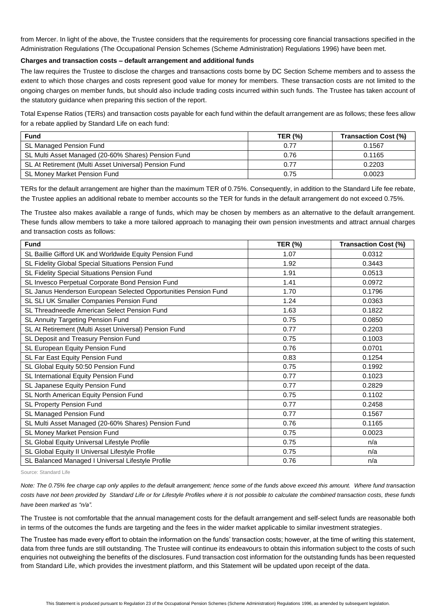from Mercer. In light of the above, the Trustee considers that the requirements for processing core financial transactions specified in the Administration Regulations (The Occupational Pension Schemes (Scheme Administration) Regulations 1996) have been met.

### **Charges and transaction costs – default arrangement and additional funds**

The law requires the Trustee to disclose the charges and transactions costs borne by DC Section Scheme members and to assess the extent to which those charges and costs represent good value for money for members. These transaction costs are not limited to the ongoing charges on member funds, but should also include trading costs incurred within such funds. The Trustee has taken account of the statutory guidance when preparing this section of the report.

Total Expense Ratios (TERs) and transaction costs payable for each fund within the default arrangement are as follows; these fees allow for a rebate applied by Standard Life on each fund:

| <b>Fund</b>                                           | <b>TER (%)</b> | Transaction Cost (%) |
|-------------------------------------------------------|----------------|----------------------|
| SL Managed Pension Fund                               | 0.77           | 0.1567               |
| SL Multi Asset Managed (20-60% Shares) Pension Fund   | 0.76           | 0.1165               |
| SL At Retirement (Multi Asset Universal) Pension Fund | 0.77           | 0.2203               |
| SL Money Market Pension Fund                          | 0.75           | 0.0023               |

TERs for the default arrangement are higher than the maximum TER of 0.75%. Consequently, in addition to the Standard Life fee rebate, the Trustee applies an additional rebate to member accounts so the TER for funds in the default arrangement do not exceed 0.75%.

The Trustee also makes available a range of funds, which may be chosen by members as an alternative to the default arrangement. These funds allow members to take a more tailored approach to managing their own pension investments and attract annual charges and transaction costs as follows:

| <b>Fund</b>                                                     | <b>TER (%)</b> | <b>Transaction Cost (%)</b> |
|-----------------------------------------------------------------|----------------|-----------------------------|
| SL Baillie Gifford UK and Worldwide Equity Pension Fund         | 1.07           | 0.0312                      |
| SL Fidelity Global Special Situations Pension Fund              | 1.92           | 0.3443                      |
| SL Fidelity Special Situations Pension Fund                     | 1.91           | 0.0513                      |
| SL Invesco Perpetual Corporate Bond Pension Fund                | 1.41           | 0.0972                      |
| SL Janus Henderson European Selected Opportunities Pension Fund | 1.70           | 0.1796                      |
| SL SLI UK Smaller Companies Pension Fund                        | 1.24           | 0.0363                      |
| SL Threadneedle American Select Pension Fund                    | 1.63           | 0.1822                      |
| SL Annuity Targeting Pension Fund                               | 0.75           | 0.0850                      |
| SL At Retirement (Multi Asset Universal) Pension Fund           | 0.77           | 0.2203                      |
| SL Deposit and Treasury Pension Fund                            | 0.75           | 0.1003                      |
| SL European Equity Pension Fund                                 | 0.76           | 0.0701                      |
| SL Far East Equity Pension Fund                                 | 0.83           | 0.1254                      |
| SL Global Equity 50:50 Pension Fund                             | 0.75           | 0.1992                      |
| SL International Equity Pension Fund                            | 0.77           | 0.1023                      |
| SL Japanese Equity Pension Fund                                 | 0.77           | 0.2829                      |
| SL North American Equity Pension Fund                           | 0.75           | 0.1102                      |
| SL Property Pension Fund                                        | 0.77           | 0.2458                      |
| SL Managed Pension Fund                                         | 0.77           | 0.1567                      |
| SL Multi Asset Managed (20-60% Shares) Pension Fund             | 0.76           | 0.1165                      |
| SL Money Market Pension Fund                                    | 0.75           | 0.0023                      |
| SL Global Equity Universal Lifestyle Profile                    | 0.75           | n/a                         |
| SL Global Equity II Universal Lifestyle Profile                 | 0.75           | n/a                         |
| SL Balanced Managed I Universal Lifestyle Profile               | 0.76           | n/a                         |

Source: Standard Life

*Note: The 0.75% fee charge cap only applies to the default arrangement; hence some of the funds above exceed this amount. Where fund transaction costs have not been provided by Standard Life or for Lifestyle Profiles where it is not possible to calculate the combined transaction costs, these funds have been marked as "n/a".*

The Trustee is not comfortable that the annual management costs for the default arrangement and self-select funds are reasonable both in terms of the outcomes the funds are targeting and the fees in the wider market applicable to similar investment strategies.

The Trustee has made every effort to obtain the information on the funds' transaction costs; however, at the time of writing this statement, data from three funds are still outstanding. The Trustee will continue its endeavours to obtain this information subject to the costs of such enquiries not outweighing the benefits of the disclosures. Fund transaction cost information for the outstanding funds has been requested from Standard Life, which provides the investment platform, and this Statement will be updated upon receipt of the data.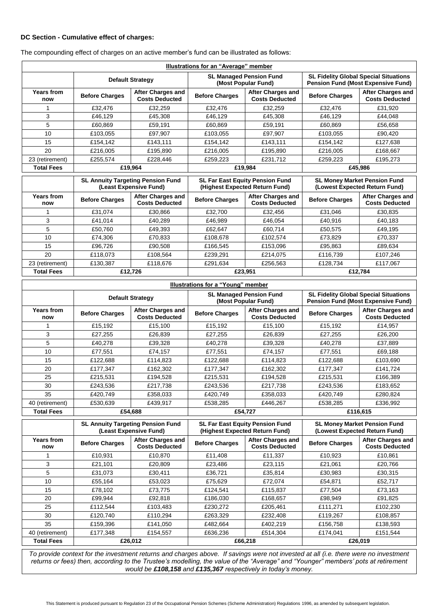### **DC Section - Cumulative effect of charges:**

| Illustrations for an "Average" member |                                                                    |                                                   |                                                                          |                                                   |                                                                                           |                                                   |
|---------------------------------------|--------------------------------------------------------------------|---------------------------------------------------|--------------------------------------------------------------------------|---------------------------------------------------|-------------------------------------------------------------------------------------------|---------------------------------------------------|
|                                       | <b>Default Strategy</b>                                            |                                                   | <b>SL Managed Pension Fund</b><br>(Most Popular Fund)                    |                                                   | <b>SL Fidelity Global Special Situations</b><br><b>Pension Fund (Most Expensive Fund)</b> |                                                   |
| <b>Years from</b><br>now              | <b>Before Charges</b>                                              | <b>After Charges and</b><br><b>Costs Deducted</b> | <b>Before Charges</b>                                                    | <b>After Charges and</b><br><b>Costs Deducted</b> | <b>Before Charges</b>                                                                     | <b>After Charges and</b><br><b>Costs Deducted</b> |
| 1                                     | £32,476                                                            | £32.259                                           | £32,476                                                                  | £32,259                                           | £32,476                                                                                   | £31.920                                           |
| 3                                     | £46,129                                                            | £45,308                                           | £46,129                                                                  | £45,308                                           | £46,129                                                                                   | £44,048                                           |
| 5                                     | £60,869                                                            | £59,191                                           | £60,869                                                                  | £59,191                                           | £60,869                                                                                   | £56,658                                           |
| 10                                    | £103,055                                                           | £97,907                                           | £103,055                                                                 | £97,907                                           | £103,055                                                                                  | £90,420                                           |
| 15                                    | £154,142                                                           | £143,111                                          | £154,142                                                                 | £143,111                                          | £154,142                                                                                  | £127,638                                          |
| 20                                    | £216,005                                                           | £195.890                                          | £216,005                                                                 | £195.890                                          | £216,005                                                                                  | £168.667                                          |
| 23 (retirement)                       | £255,574                                                           | £228,446                                          | £259,223                                                                 | £231,712                                          | £259,223                                                                                  | £195,273                                          |
| <b>Total Fees</b>                     | £19.964                                                            |                                                   | £19.984                                                                  |                                                   | £45.986                                                                                   |                                                   |
|                                       | <b>SL Annuity Targeting Pension Fund</b><br>(Least Expensive Fund) |                                                   | <b>SL Far East Equity Pension Fund</b><br>(Highest Expected Return Fund) |                                                   | <b>SL Money Market Pension Fund</b><br>(Lowest Expected Return Fund)                      |                                                   |
| <b>Years from</b><br>now              | <b>Before Charges</b>                                              | After Charges and<br><b>Costs Deducted</b>        | <b>Before Charges</b>                                                    | After Charges and<br><b>Costs Deducted</b>        | <b>Before Charges</b>                                                                     | After Charges and<br><b>Costs Deducted</b>        |
| 1                                     |                                                                    |                                                   |                                                                          |                                                   |                                                                                           |                                                   |
|                                       | £31,074                                                            | £30,866                                           | £32,700                                                                  | £32,456                                           | £31,046                                                                                   | £30,835                                           |
| 3                                     | £41,014                                                            | £40,289                                           | £46,989                                                                  | £46,054                                           | £40,916                                                                                   | £40,183                                           |
| 5                                     | £50,760                                                            | £49,393                                           | £62,647                                                                  | £60,714                                           | £50,575                                                                                   | £49,195                                           |
| 10                                    | £74,306                                                            | £70,833                                           | £108,678                                                                 | £102,574                                          | £73,829                                                                                   | £70,337                                           |
| 15                                    | £96,726                                                            | £90,508                                           | £166,545                                                                 | £153,096                                          | £95,863                                                                                   | £89,634                                           |
| 20                                    | £118,073                                                           | £108,564                                          | £239,291                                                                 | £214,075                                          | £116,739                                                                                  | £107,246                                          |
| 23 (retirement)                       | £130,387                                                           | £118,676                                          | £291,634                                                                 | £256,563                                          | £128,734                                                                                  | £117,067                                          |
| <b>Total Fees</b>                     |                                                                    | £12,726                                           |                                                                          | £23,951                                           |                                                                                           | £12,784                                           |

The compounding effect of charges on an active member's fund can be illustrated as follows:

| Illustrations for a "Young" member |                         |                                            |                                                       |                                            |                                                                                           |                                            |
|------------------------------------|-------------------------|--------------------------------------------|-------------------------------------------------------|--------------------------------------------|-------------------------------------------------------------------------------------------|--------------------------------------------|
|                                    | <b>Default Strategy</b> |                                            | <b>SL Managed Pension Fund</b><br>(Most Popular Fund) |                                            | <b>SL Fidelity Global Special Situations</b><br><b>Pension Fund (Most Expensive Fund)</b> |                                            |
| <b>Years from</b><br>now           | <b>Before Charges</b>   | After Charges and<br><b>Costs Deducted</b> | <b>Before Charges</b>                                 | After Charges and<br><b>Costs Deducted</b> | <b>Before Charges</b>                                                                     | After Charges and<br><b>Costs Deducted</b> |
|                                    | £15,192                 | £15,100                                    | £15,192                                               | £15,100                                    | £15,192                                                                                   | £14,957                                    |
| 3                                  | £27.255                 | £26,839                                    | £27.255                                               | £26,839                                    | £27,255                                                                                   | £26,200                                    |
| 5                                  | £40.278                 | £39,328                                    | £40,278                                               | £39,328                                    | £40,278                                                                                   | £37,889                                    |
| 10                                 | £77,551                 | £74,157                                    | £77,551                                               | £74,157                                    | £77,551                                                                                   | £69,188                                    |
| 15                                 | £122,688                | £114,823                                   | £122,688                                              | £114,823                                   | £122,688                                                                                  | £103,690                                   |
| 20                                 | £177,347                | £162,302                                   | £177,347                                              | £162,302                                   | £177,347                                                                                  | £141,724                                   |
| 25                                 | £215,531                | £194,528                                   | £215,531                                              | £194.528                                   | £215,531                                                                                  | £166,389                                   |
| 30                                 | £243,536                | £217,738                                   | £243,536                                              | £217,738                                   | £243,536                                                                                  | £183,652                                   |
| 35                                 | £420,749                | £358,033                                   | £420,749                                              | £358,033                                   | £420,749                                                                                  | £280,824                                   |
| 40 (retirement)                    | £530,639                | £439,917                                   | £538,285                                              | £446,267                                   | £538,285                                                                                  | £336,992                                   |
| <b>Total Fees</b>                  |                         | £54,688                                    |                                                       | £54,727                                    |                                                                                           | £116,615                                   |

|                          | <b>SL Annuity Targeting Pension Fund</b><br>(Least Expensive Fund) |                                            | <b>SL Far East Equity Pension Fund</b><br>(Highest Expected Return Fund) |                                            | <b>SL Money Market Pension Fund</b><br>(Lowest Expected Return Fund) |                                            |
|--------------------------|--------------------------------------------------------------------|--------------------------------------------|--------------------------------------------------------------------------|--------------------------------------------|----------------------------------------------------------------------|--------------------------------------------|
| <b>Years from</b><br>now | <b>Before Charges</b>                                              | After Charges and<br><b>Costs Deducted</b> | <b>Before Charges</b>                                                    | After Charges and<br><b>Costs Deducted</b> | <b>Before Charges</b>                                                | After Charges and<br><b>Costs Deducted</b> |
|                          | £10,931                                                            | £10.870                                    | £11,408                                                                  | £11,337                                    | £10,923                                                              | £10,861                                    |
| 3                        | £21,101                                                            | £20,809                                    | £23,486                                                                  | £23,115                                    | £21,061                                                              | £20,766                                    |
| 5                        | £31,073                                                            | £30,411                                    | £36,721                                                                  | £35,814                                    | £30,983                                                              | £30,315                                    |
| 10                       | £55,164                                                            | £53,023                                    | £75,629                                                                  | £72,074                                    | £54,871                                                              | £52,717                                    |
| 15                       | £78.102                                                            | £73.775                                    | £124.541                                                                 | £115.837                                   | £77.504                                                              | £73,163                                    |
| 20                       | £99,944                                                            | £92,818                                    | £186,030                                                                 | £168,657                                   | £98,949                                                              | £91,825                                    |
| 25                       | £112.544                                                           | £103,483                                   | £230.272                                                                 | £205,461                                   | £111.271                                                             | £102,230                                   |
| 30                       | £120.740                                                           | £110,294                                   | £263,329                                                                 | £232.408                                   | £119,267                                                             | £108,857                                   |
| 35                       | £159,396                                                           | £141,050                                   | £482,664                                                                 | £402,219                                   | £156,758                                                             | £138,593                                   |
| 40 (retirement)          | £177,348                                                           | £154,557                                   | £636,236                                                                 | £514.304                                   | £174,041                                                             | £151.544                                   |
| <b>Total Fees</b>        |                                                                    | £26.012                                    |                                                                          | £66,218                                    |                                                                      | £26,019                                    |

*To provide context for the investment returns and charges above. If savings were not invested at all (i.e. there were no investment returns or fees) then, according to the Trustee's modelling, the value of the "Average" and "Younger" members' pots at retirement would be £108,158 and £135,367 respectively in today's money.*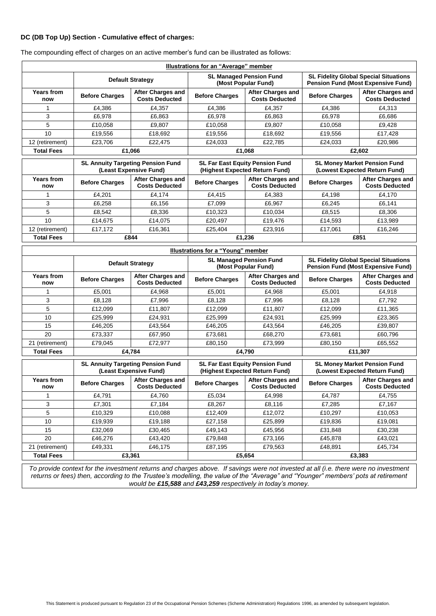### **DC (DB Top Up) Section - Cumulative effect of charges:**

| Illustrations for an "Average" member |                                                                    |                                                   |                                                                          |                                                   |                                                                                           |                                                   |
|---------------------------------------|--------------------------------------------------------------------|---------------------------------------------------|--------------------------------------------------------------------------|---------------------------------------------------|-------------------------------------------------------------------------------------------|---------------------------------------------------|
|                                       | <b>Default Strategy</b>                                            |                                                   | <b>SL Managed Pension Fund</b><br>(Most Popular Fund)                    |                                                   | <b>SL Fidelity Global Special Situations</b><br><b>Pension Fund (Most Expensive Fund)</b> |                                                   |
| <b>Years from</b><br>now              | <b>Before Charges</b>                                              | <b>After Charges and</b><br><b>Costs Deducted</b> | <b>Before Charges</b>                                                    | <b>After Charges and</b><br><b>Costs Deducted</b> | <b>Before Charges</b>                                                                     | After Charges and<br><b>Costs Deducted</b>        |
|                                       | £4,386                                                             | £4,357                                            | £4,386                                                                   | £4,357                                            | £4,386                                                                                    | £4,313                                            |
| 3                                     | £6,978                                                             | £6,863                                            | £6,978                                                                   | £6,863                                            | £6,978                                                                                    | £6,686                                            |
| 5                                     | £10,058                                                            | £9,807                                            | £10,058                                                                  | £9,807                                            | £10,058                                                                                   | £9,428                                            |
| 10                                    | £19,556                                                            | £18,692                                           | £19,556                                                                  | £18,692                                           | £19,556                                                                                   | £17,428                                           |
| 12 (retirement)                       | £23,706                                                            | £22,475                                           | £24,033                                                                  | £22.785                                           | £24,033                                                                                   | £20,986                                           |
| <b>Total Fees</b>                     |                                                                    | £1,066                                            |                                                                          | £1,068                                            |                                                                                           | £2,602                                            |
|                                       | <b>SL Annuity Targeting Pension Fund</b><br>(Least Expensive Fund) |                                                   | <b>SL Far East Equity Pension Fund</b><br>(Highest Expected Return Fund) |                                                   | <b>SL Money Market Pension Fund</b><br>(Lowest Expected Return Fund)                      |                                                   |
| <b>Years from</b><br>now              | <b>Before Charges</b>                                              | <b>After Charges and</b><br><b>Costs Deducted</b> | <b>Before Charges</b>                                                    | <b>After Charges and</b><br><b>Costs Deducted</b> | <b>Before Charges</b>                                                                     | <b>After Charges and</b><br><b>Costs Deducted</b> |
| 1                                     | £4,201                                                             | £4,174                                            | £4,415                                                                   | £4,383                                            | £4,198                                                                                    | £4,170                                            |
| 3                                     | £6,258                                                             | £6,156                                            | £7,099                                                                   | £6,967                                            | £6,245                                                                                    | £6,141                                            |
| 5                                     | £8,542                                                             | £8,336                                            | £10,323                                                                  | £10,034                                           | £8,515                                                                                    | £8,306                                            |
| 10                                    | £14,675                                                            | £14,075                                           | £20,497                                                                  | £19,476                                           | £14,593                                                                                   | £13,989                                           |
| 12 (retirement)                       | £17,172                                                            | £16,361                                           | £25.404                                                                  | £23,916                                           | £17,061                                                                                   | £16,246                                           |
| <b>Total Fees</b>                     |                                                                    | £844                                              |                                                                          | £1,236                                            | £851                                                                                      |                                                   |
|                                       |                                                                    |                                                   | Illustrations for a "Young" member                                       |                                                   |                                                                                           |                                                   |
|                                       | <b>Default Strategy</b>                                            |                                                   | <b>SL Managed Pension Fund</b><br>(Most Popular Fund)                    |                                                   | <b>SL Fidelity Global Special Situations</b><br><b>Pension Fund (Most Expensive Fund)</b> |                                                   |
| <b>Years from</b><br>now              | <b>Before Charges</b>                                              | <b>After Charges and</b><br><b>Costs Deducted</b> | <b>Before Charges</b>                                                    | <b>After Charges and</b><br><b>Costs Deducted</b> | <b>Before Charges</b>                                                                     | After Charges and<br><b>Costs Deducted</b>        |
| 1                                     | £5,001                                                             | £4,968                                            | £5,001                                                                   | £4,968                                            | £5,001                                                                                    | £4,918                                            |
| 3                                     | £8,128                                                             | £7,996                                            | £8,128                                                                   | £7,996                                            | £8,128                                                                                    | £7,792                                            |
| 5                                     | £12,099                                                            | £11,807                                           | £12,099                                                                  | £11,807                                           | £12,099                                                                                   | £11,365                                           |
| 10                                    | £25,999                                                            | £24,931                                           | £25,999                                                                  | £24,931                                           | £25,999                                                                                   | £23,365                                           |
| 15                                    | £46,205                                                            | £43,564                                           | £46,205                                                                  | £43,564                                           | £46,205                                                                                   | £39,807                                           |
| 20                                    | £73,337                                                            | £67,950                                           | £73,681                                                                  | £68,270                                           | £73,681                                                                                   | £60,796                                           |
| 21 (retirement)                       | £79,045                                                            | £72,977                                           | £80,150                                                                  | £73,999                                           | £80,150                                                                                   | £65,552                                           |
| <b>Total Fees</b>                     |                                                                    | £4,784                                            | £4,790                                                                   |                                                   | £11,307                                                                                   |                                                   |
|                                       | <b>SL Annuity Targeting Pension Fund</b><br>(Least Expensive Fund) |                                                   | <b>SL Far East Equity Pension Fund</b><br>(Highest Expected Return Fund) |                                                   | <b>SL Money Market Pension Fund</b><br>(Lowest Expected Return Fund)                      |                                                   |
| <b>Years from</b><br>now              | <b>Before Charges</b>                                              | <b>After Charges and</b><br><b>Costs Deducted</b> | <b>Before Charges</b>                                                    | <b>After Charges and</b><br><b>Costs Deducted</b> | <b>Before Charges</b>                                                                     | <b>After Charges and</b><br><b>Costs Deducted</b> |
| 1                                     | £4,791                                                             | £4,760                                            | £5,034                                                                   | £4,998                                            | £4,787                                                                                    | £4,755                                            |
| 3                                     | £7,301                                                             | £7,184                                            | £8,267                                                                   | £8,116                                            | £7,285                                                                                    | £7,167                                            |
| 5                                     | £10,329                                                            | £10,088                                           | £12,409                                                                  | £12,072                                           | £10,297                                                                                   | £10,053                                           |
| 10                                    | £19,939                                                            | £19,188                                           | £27,158                                                                  | £25,899                                           | £19,836                                                                                   | £19,081                                           |
| 15                                    | £32,069                                                            | £30,465                                           | £49,143                                                                  | £45,956                                           | £31,848                                                                                   | £30,238                                           |
| 20                                    | £46,276                                                            | £43,420                                           | £79,848                                                                  | £73,166                                           | £45,878                                                                                   | £43,021                                           |
| 21 (retirement)                       | £49,331                                                            | £46,175                                           | £87,195                                                                  | £79,563                                           | £48,891                                                                                   | £45,734                                           |
| <b>Total Fees</b>                     | £3,361                                                             |                                                   |                                                                          | £5,654                                            |                                                                                           | £3,383                                            |

The compounding effect of charges on an active member's fund can be illustrated as follows:

*To provide context for the investment returns and charges above. If savings were not invested at all (i.e. there were no investment returns or fees) then, according to the Trustee's modelling, the value of the "Average" and "Younger" members' pots at retirement would be £15,588 and £43,259 respectively in today's money.*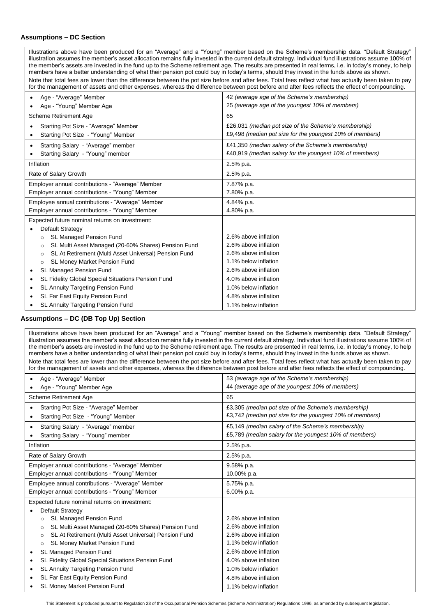### **Assumptions – DC Section**

Illustrations above have been produced for an "Average" and a "Young" member based on the Scheme's membership data. "Default Strategy" illustration assumes the member's asset allocation remains fully invested in the current default strategy. Individual fund illustrations assume 100% of the member's assets are invested in the fund up to the Scheme retirement age. The results are presented in real terms, i.e. in today's money, to help members have a better understanding of what their pension pot could buy in today's terms, should they invest in the funds above as shown. Note that total fees are lower than the difference between the pot size before and after fees. Total fees reflect what has actually been taken to pay for the management of assets and other expenses, whereas the difference between post before and after fees reflects the effect of compounding.

| Age - "Average" Member                                           | 42 (average age of the Scheme's membership)              |
|------------------------------------------------------------------|----------------------------------------------------------|
| Age - "Young" Member Age                                         | 25 (average age of the youngest 10% of members)          |
| <b>Scheme Retirement Age</b>                                     | 65                                                       |
| Starting Pot Size - "Average" Member<br>$\bullet$                | £26,031 (median pot size of the Scheme's membership)     |
| Starting Pot Size - "Young" Member                               | £9,498 (median pot size for the youngest 10% of members) |
| Starting Salary - "Average" member<br>٠                          | £41,350 (median salary of the Scheme's membership)       |
| Starting Salary - "Young" member                                 | £40,919 (median salary for the youngest 10% of members)  |
| Inflation                                                        | 2.5% p.a.                                                |
| Rate of Salary Growth                                            | 2.5% p.a.                                                |
| Employer annual contributions - "Average" Member                 | 7.87% p.a.                                               |
| Employer annual contributions - "Young" Member                   | 7.80% p.a.                                               |
| Employee annual contributions - "Average" Member                 | 4.84% p.a.                                               |
| Employer annual contributions - "Young" Member                   | 4.80% p.a.                                               |
| Expected future nominal returns on investment:                   |                                                          |
| Default Strategy                                                 |                                                          |
| <b>SL Managed Pension Fund</b><br>$\circ$                        | 2.6% above inflation                                     |
| SL Multi Asset Managed (20-60% Shares) Pension Fund<br>$\circ$   | 2.6% above inflation                                     |
| SL At Retirement (Multi Asset Universal) Pension Fund<br>$\circ$ | 2.6% above inflation                                     |
| SL Money Market Pension Fund<br>$\circ$                          | 1.1% below inflation                                     |
| <b>SL Managed Pension Fund</b><br>٠                              | 2.6% above inflation                                     |
| SL Fidelity Global Special Situations Pension Fund<br>٠          | 4.0% above inflation                                     |
| SL Annuity Targeting Pension Fund<br>٠                           | 1.0% below inflation                                     |
| SL Far East Equity Pension Fund<br>٠                             | 4.8% above inflation                                     |
| SL Annuity Targeting Pension Fund                                | 1.1% below inflation                                     |

### **Assumptions – DC (DB Top Up) Section**

Illustrations above have been produced for an "Average" and a "Young" member based on the Scheme's membership data. "Default Strategy" illustration assumes the member's asset allocation remains fully invested in the current default strategy. Individual fund illustrations assume 100% of the member's assets are invested in the fund up to the Scheme retirement age. The results are presented in real terms, i.e. in today's money, to help members have a better understanding of what their pension pot could buy in today's terms, should they invest in the funds above as shown. Note that total fees are lower than the difference between the pot size before and after fees. Total fees reflect what has actually been taken to pay for the management of assets and other expenses, whereas the difference between post before and after fees reflects the effect of compounding.

| Age - "Average" Member                                           | 53 (average age of the Scheme's membership)              |
|------------------------------------------------------------------|----------------------------------------------------------|
| Age - "Young" Member Age                                         | 44 (average age of the youngest 10% of members)          |
| Scheme Retirement Age                                            | 65                                                       |
| Starting Pot Size - "Average" Member                             | £3,305 (median pot size of the Scheme's membership)      |
| Starting Pot Size - "Young" Member<br>٠                          | £3,742 (median pot size for the youngest 10% of members) |
| Starting Salary - "Average" member<br>$\bullet$                  | £5,149 (median salary of the Scheme's membership)        |
| Starting Salary - "Young" member<br>٠                            | £5,789 (median salary for the youngest 10% of members)   |
| Inflation                                                        | 2.5% p.a.                                                |
| Rate of Salary Growth                                            | 2.5% p.a.                                                |
| Employer annual contributions - "Average" Member                 | 9.58% p.a.                                               |
| Employer annual contributions - "Young" Member                   | 10.00% p.a.                                              |
| Employee annual contributions - "Average" Member                 | 5.75% p.a.                                               |
| Employer annual contributions - "Young" Member                   | 6.00% p.a.                                               |
| Expected future nominal returns on investment:                   |                                                          |
| Default Strategy                                                 |                                                          |
| <b>SL Managed Pension Fund</b><br>$\circ$                        | 2.6% above inflation                                     |
| SL Multi Asset Managed (20-60% Shares) Pension Fund<br>$\circ$   | 2.6% above inflation                                     |
| SL At Retirement (Multi Asset Universal) Pension Fund<br>$\circ$ | 2.6% above inflation                                     |
| <b>SL Money Market Pension Fund</b><br>$\circ$                   | 1.1% below inflation                                     |
| SL Managed Pension Fund<br>٠                                     | 2.6% above inflation                                     |
| SL Fidelity Global Special Situations Pension Fund<br>$\bullet$  | 4.0% above inflation                                     |
| SL Annuity Targeting Pension Fund<br>٠                           | 1.0% below inflation                                     |
| SL Far East Equity Pension Fund                                  | 4.8% above inflation                                     |
| <b>SL Money Market Pension Fund</b>                              | 1.1% below inflation                                     |

This Statement is produced pursuant to Regulation 23 of the Occupational Pension Schemes (Scheme Administration) Regulations 1996, as amended by subsequent legislation.